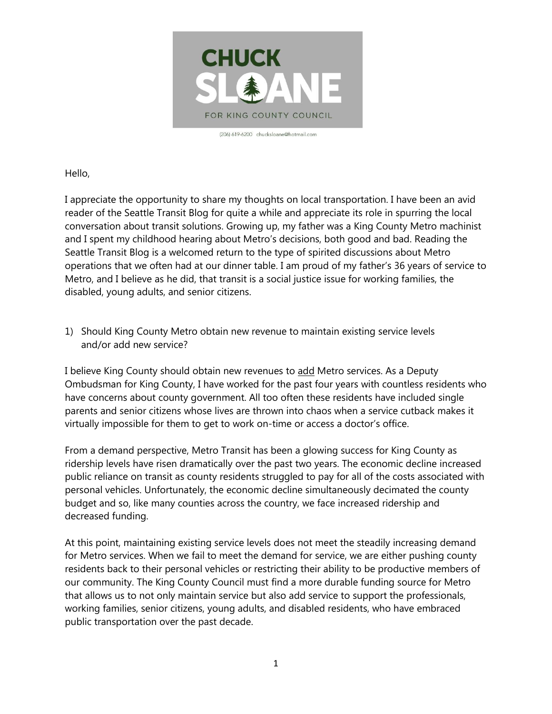

(206) 619-6200 chucksloane@hotmail.com

Hello,

I appreciate the opportunity to share my thoughts on local transportation. I have been an avid reader of the Seattle Transit Blog for quite a while and appreciate its role in spurring the local conversation about transit solutions. Growing up, my father was a King County Metro machinist and I spent my childhood hearing about Metro's decisions, both good and bad. Reading the Seattle Transit Blog is a welcomed return to the type of spirited discussions about Metro operations that we often had at our dinner table. I am proud of my father's 36 years of service to Metro, and I believe as he did, that transit is a social justice issue for working families, the disabled, young adults, and senior citizens.

1) Should King County Metro obtain new revenue to maintain existing service levels and/or add new service?

I believe King County should obtain new revenues to add Metro services. As a Deputy Ombudsman for King County, I have worked for the past four years with countless residents who have concerns about county government. All too often these residents have included single parents and senior citizens whose lives are thrown into chaos when a service cutback makes it virtually impossible for them to get to work on-time or access a doctor's office.

From a demand perspective, Metro Transit has been a glowing success for King County as ridership levels have risen dramatically over the past two years. The economic decline increased public reliance on transit as county residents struggled to pay for all of the costs associated with personal vehicles. Unfortunately, the economic decline simultaneously decimated the county budget and so, like many counties across the country, we face increased ridership and decreased funding.

At this point, maintaining existing service levels does not meet the steadily increasing demand for Metro services. When we fail to meet the demand for service, we are either pushing county residents back to their personal vehicles or restricting their ability to be productive members of our community. The King County Council must find a more durable funding source for Metro that allows us to not only maintain service but also add service to support the professionals, working families, senior citizens, young adults, and disabled residents, who have embraced public transportation over the past decade.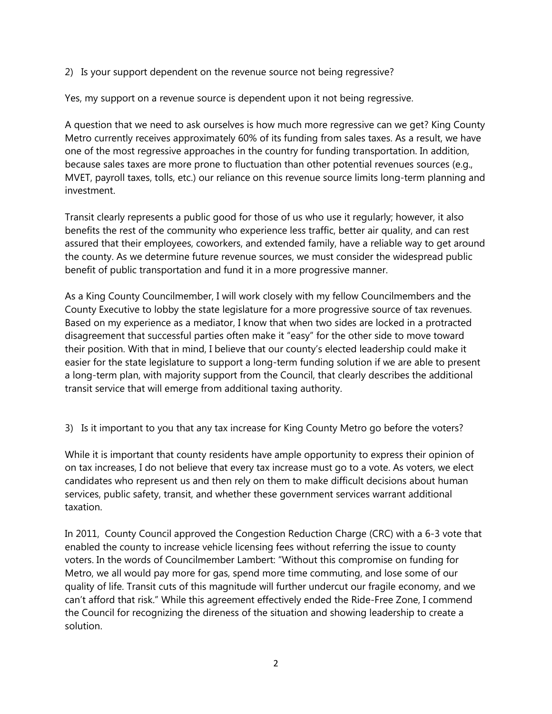2) Is your support dependent on the revenue source not being regressive?

Yes, my support on a revenue source is dependent upon it not being regressive.

A question that we need to ask ourselves is how much more regressive can we get? King County Metro currently receives approximately 60% of its funding from sales taxes. As a result, we have one of the most regressive approaches in the country for funding transportation. In addition, because sales taxes are more prone to fluctuation than other potential revenues sources (e.g., MVET, payroll taxes, tolls, etc.) our reliance on this revenue source limits long-term planning and investment.

Transit clearly represents a public good for those of us who use it regularly; however, it also benefits the rest of the community who experience less traffic, better air quality, and can rest assured that their employees, coworkers, and extended family, have a reliable way to get around the county. As we determine future revenue sources, we must consider the widespread public benefit of public transportation and fund it in a more progressive manner.

As a King County Councilmember, I will work closely with my fellow Councilmembers and the County Executive to lobby the state legislature for a more progressive source of tax revenues. Based on my experience as a mediator, I know that when two sides are locked in a protracted disagreement that successful parties often make it "easy" for the other side to move toward their position. With that in mind, I believe that our county's elected leadership could make it easier for the state legislature to support a long-term funding solution if we are able to present a long-term plan, with majority support from the Council, that clearly describes the additional transit service that will emerge from additional taxing authority.

3) Is it important to you that any tax increase for King County Metro go before the voters?

While it is important that county residents have ample opportunity to express their opinion of on tax increases, I do not believe that every tax increase must go to a vote. As voters, we elect candidates who represent us and then rely on them to make difficult decisions about human services, public safety, transit, and whether these government services warrant additional taxation.

In 2011, County Council approved the Congestion Reduction Charge (CRC) with a 6-3 vote that enabled the county to increase vehicle licensing fees without referring the issue to county voters. In the words of Councilmember Lambert: "Without this compromise on funding for Metro, we all would pay more for gas, spend more time commuting, and lose some of our quality of life. Transit cuts of this magnitude will further undercut our fragile economy, and we can't afford that risk." While this agreement effectively ended the Ride-Free Zone, I commend the Council for recognizing the direness of the situation and showing leadership to create a solution.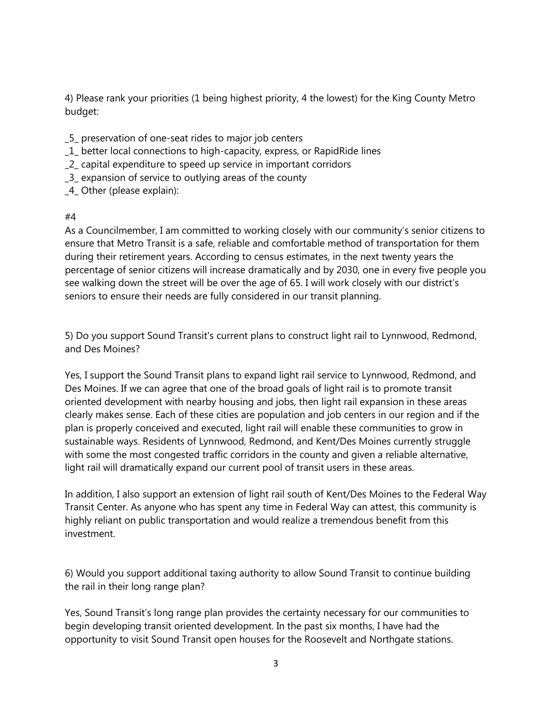4) Please rank your priorities (1 being highest priority, 4 the lowest) for the King County Metro budget:

- \_5\_ preservation of one-seat rides to major job centers
- \_1\_ better local connections to high-capacity, express, or RapidRide lines
- \_2\_ capital expenditure to speed up service in important corridors
- \_3\_ expansion of service to outlying areas of the county
- \_4\_ Other (please explain):

## #4

As a Councilmember, I am committed to working closely with our community's senior citizens to ensure that Metro Transit is a safe, reliable and comfortable method of transportation for them during their retirement years. According to census estimates, in the next twenty years the percentage of senior citizens will increase dramatically and by 2030, one in every five people you see walking down the street will be over the age of 65. I will work closely with our district's seniors to ensure their needs are fully considered in our transit planning.

5) Do you support Sound Transit's current plans to construct light rail to Lynnwood, Redmond, and Des Moines?

Yes, I support the Sound Transit plans to expand light rail service to Lynnwood, Redmond, and Des Moines. If we can agree that one of the broad goals of light rail is to promote transit oriented development with nearby housing and jobs, then light rail expansion in these areas clearly makes sense. Each of these cities are population and job centers in our region and if the plan is properly conceived and executed, light rail will enable these communities to grow in sustainable ways. Residents of Lynnwood, Redmond, and Kent/Des Moines currently struggle with some the most congested traffic corridors in the county and given a reliable alternative, light rail will dramatically expand our current pool of transit users in these areas.

In addition, I also support an extension of light rail south of Kent/Des Moines to the Federal Way Transit Center. As anyone who has spent any time in Federal Way can attest, this community is highly reliant on public transportation and would realize a tremendous benefit from this investment.

6) Would you support additional taxing authority to allow Sound Transit to continue building the rail in their long range plan?

Yes, Sound Transit's long range plan provides the certainty necessary for our communities to begin developing transit oriented development. In the past six months, I have had the opportunity to visit Sound Transit open houses for the Roosevelt and Northgate stations.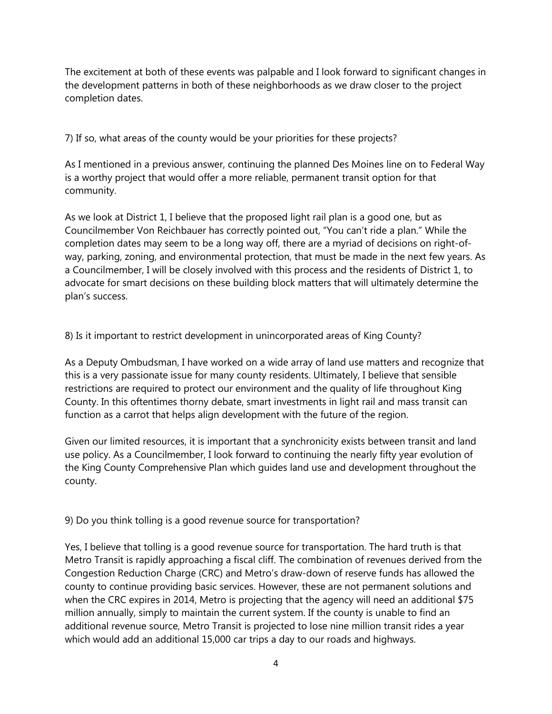The excitement at both of these events was palpable and I look forward to significant changes in the development patterns in both of these neighborhoods as we draw closer to the project completion dates.

7) If so, what areas of the county would be your priorities for these projects?

As I mentioned in a previous answer, continuing the planned Des Moines line on to Federal Way is a worthy project that would offer a more reliable, permanent transit option for that community.

As we look at District 1, I believe that the proposed light rail plan is a good one, but as Councilmember Von Reichbauer has correctly pointed out, "You can't ride a plan." While the completion dates may seem to be a long way off, there are a myriad of decisions on right-ofway, parking, zoning, and environmental protection, that must be made in the next few years. As a Councilmember, I will be closely involved with this process and the residents of District 1, to advocate for smart decisions on these building block matters that will ultimately determine the plan's success.

8) Is it important to restrict development in unincorporated areas of King County?

As a Deputy Ombudsman, I have worked on a wide array of land use matters and recognize that this is a very passionate issue for many county residents. Ultimately, I believe that sensible restrictions are required to protect our environment and the quality of life throughout King County. In this oftentimes thorny debate, smart investments in light rail and mass transit can function as a carrot that helps align development with the future of the region.

Given our limited resources, it is important that a synchronicity exists between transit and land use policy. As a Councilmember, I look forward to continuing the nearly fifty year evolution of the King County Comprehensive Plan which guides land use and development throughout the county.

9) Do you think tolling is a good revenue source for transportation?

Yes, I believe that tolling is a good revenue source for transportation. The hard truth is that Metro Transit is rapidly approaching a fiscal cliff. The combination of revenues derived from the Congestion Reduction Charge (CRC) and Metro's draw-down of reserve funds has allowed the county to continue providing basic services. However, these are not permanent solutions and when the CRC expires in 2014, Metro is projecting that the agency will need an additional \$75 million annually, simply to maintain the current system. If the county is unable to find an additional revenue source, Metro Transit is projected to lose nine million transit rides a year which would add an additional 15,000 car trips a day to our roads and highways.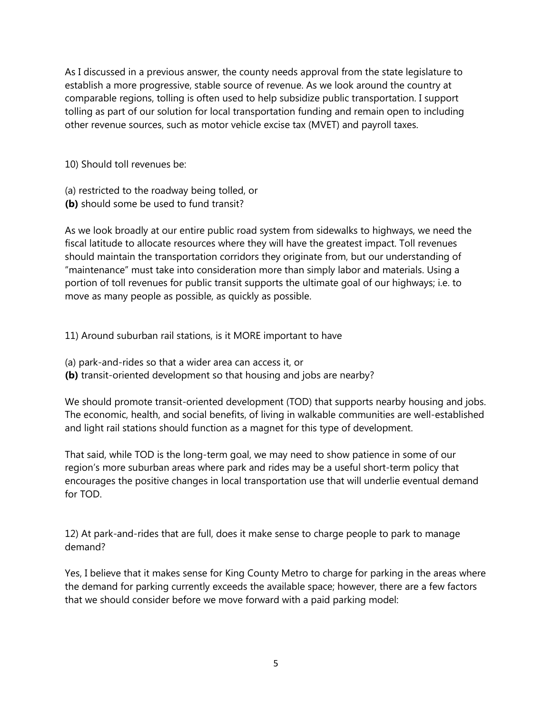As I discussed in a previous answer, the county needs approval from the state legislature to establish a more progressive, stable source of revenue. As we look around the country at comparable regions, tolling is often used to help subsidize public transportation. I support tolling as part of our solution for local transportation funding and remain open to including other revenue sources, such as motor vehicle excise tax (MVET) and payroll taxes.

10) Should toll revenues be:

- (a) restricted to the roadway being tolled, or
- **(b)** should some be used to fund transit?

As we look broadly at our entire public road system from sidewalks to highways, we need the fiscal latitude to allocate resources where they will have the greatest impact. Toll revenues should maintain the transportation corridors they originate from, but our understanding of "maintenance" must take into consideration more than simply labor and materials. Using a portion of toll revenues for public transit supports the ultimate goal of our highways; i.e. to move as many people as possible, as quickly as possible.

11) Around suburban rail stations, is it MORE important to have

- (a) park-and-rides so that a wider area can access it, or
- **(b)** transit-oriented development so that housing and jobs are nearby?

We should promote transit-oriented development (TOD) that supports nearby housing and jobs. The economic, health, and social benefits, of living in walkable communities are well-established and light rail stations should function as a magnet for this type of development.

That said, while TOD is the long-term goal, we may need to show patience in some of our region's more suburban areas where park and rides may be a useful short-term policy that encourages the positive changes in local transportation use that will underlie eventual demand for TOD.

12) At park-and-rides that are full, does it make sense to charge people to park to manage demand?

Yes, I believe that it makes sense for King County Metro to charge for parking in the areas where the demand for parking currently exceeds the available space; however, there are a few factors that we should consider before we move forward with a paid parking model: